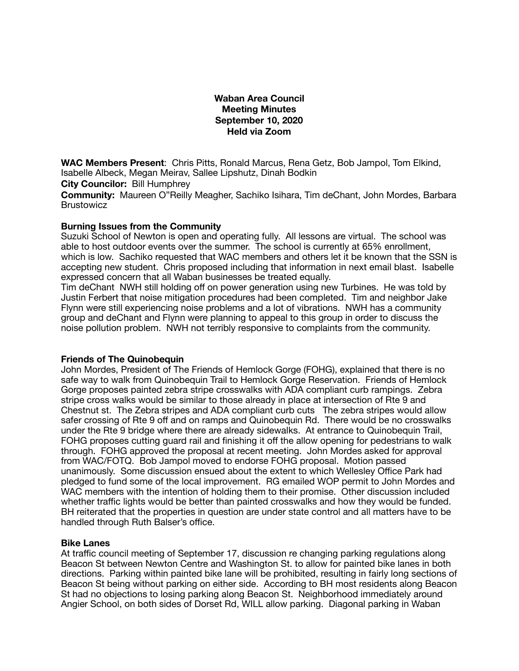# **Waban Area Council Meeting Minutes September 10, 2020 Held via Zoom**

**WAC Members Present**: Chris Pitts, Ronald Marcus, Rena Getz, Bob Jampol, Tom Elkind, Isabelle Albeck, Megan Meirav, Sallee Lipshutz, Dinah Bodkin

**City Councilor:** Bill Humphrey

**Community:** Maureen O"Reilly Meagher, Sachiko Isihara, Tim deChant, John Mordes, Barbara **Brustowicz** 

#### **Burning Issues from the Community**

Suzuki School of Newton is open and operating fully. All lessons are virtual. The school was able to host outdoor events over the summer. The school is currently at 65% enrollment, which is low. Sachiko requested that WAC members and others let it be known that the SSN is accepting new student. Chris proposed including that information in next email blast. Isabelle expressed concern that all Waban businesses be treated equally.

Tim deChant NWH still holding off on power generation using new Turbines. He was told by Justin Ferbert that noise mitigation procedures had been completed. Tim and neighbor Jake Flynn were still experiencing noise problems and a lot of vibrations. NWH has a community group and deChant and Flynn were planning to appeal to this group in order to discuss the noise pollution problem. NWH not terribly responsive to complaints from the community.

# **Friends of The Quinobequin**

John Mordes, President of The Friends of Hemlock Gorge (FOHG), explained that there is no safe way to walk from Quinobequin Trail to Hemlock Gorge Reservation. Friends of Hemlock Gorge proposes painted zebra stripe crosswalks with ADA compliant curb rampings. Zebra stripe cross walks would be similar to those already in place at intersection of Rte 9 and Chestnut st. The Zebra stripes and ADA compliant curb cuts The zebra stripes would allow safer crossing of Rte 9 off and on ramps and Quinobequin Rd. There would be no crosswalks under the Rte 9 bridge where there are already sidewalks. At entrance to Quinobequin Trail, FOHG proposes cutting guard rail and finishing it off the allow opening for pedestrians to walk through. FOHG approved the proposal at recent meeting. John Mordes asked for approval from WAC/FOTQ. Bob Jampol moved to endorse FOHG proposal. Motion passed unanimously. Some discussion ensued about the extent to which Wellesley Office Park had pledged to fund some of the local improvement. RG emailed WOP permit to John Mordes and WAC members with the intention of holding them to their promise. Other discussion included whether traffic lights would be better than painted crosswalks and how they would be funded. BH reiterated that the properties in question are under state control and all matters have to be handled through Ruth Balser's office.

#### **Bike Lanes**

At traffic council meeting of September 17, discussion re changing parking regulations along Beacon St between Newton Centre and Washington St. to allow for painted bike lanes in both directions. Parking within painted bike lane will be prohibited, resulting in fairly long sections of Beacon St being without parking on either side. According to BH most residents along Beacon St had no objections to losing parking along Beacon St. Neighborhood immediately around Angier School, on both sides of Dorset Rd, WILL allow parking. Diagonal parking in Waban